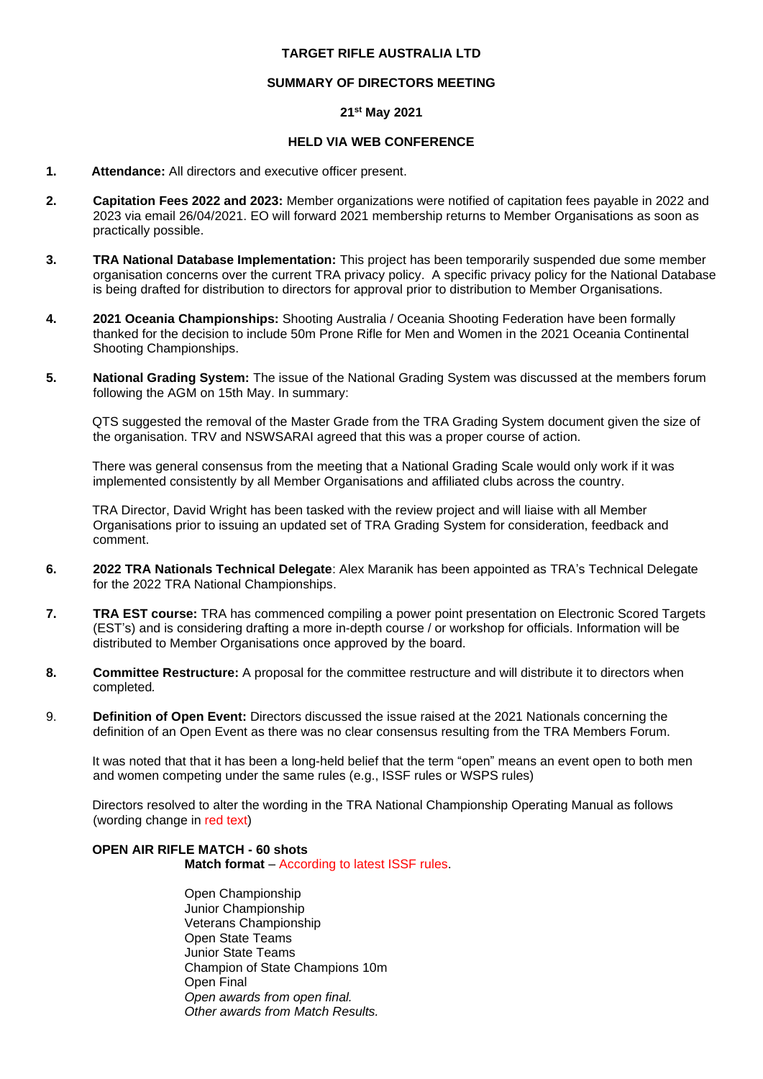### **TARGET RIFLE AUSTRALIA LTD**

### **SUMMARY OF DIRECTORS MEETING**

# **21st May 2021**

### **HELD VIA WEB CONFERENCE**

- **1. Attendance:** All directors and executive officer present.
- **2. Capitation Fees 2022 and 2023:** Member organizations were notified of capitation fees payable in 2022 and 2023 via email 26/04/2021. EO will forward 2021 membership returns to Member Organisations as soon as practically possible.
- **3. TRA National Database Implementation:** This project has been temporarily suspended due some member organisation concerns over the current TRA privacy policy. A specific privacy policy for the National Database is being drafted for distribution to directors for approval prior to distribution to Member Organisations.
- **4. 2021 Oceania Championships:** Shooting Australia / Oceania Shooting Federation have been formally thanked for the decision to include 50m Prone Rifle for Men and Women in the 2021 Oceania Continental Shooting Championships.
- **5. National Grading System:** The issue of the National Grading System was discussed at the members forum following the AGM on 15th May. In summary:

QTS suggested the removal of the Master Grade from the TRA Grading System document given the size of the organisation. TRV and NSWSARAI agreed that this was a proper course of action.

There was general consensus from the meeting that a National Grading Scale would only work if it was implemented consistently by all Member Organisations and affiliated clubs across the country.

TRA Director, David Wright has been tasked with the review project and will liaise with all Member Organisations prior to issuing an updated set of TRA Grading System for consideration, feedback and comment.

- **6. 2022 TRA Nationals Technical Delegate**: Alex Maranik has been appointed as TRA's Technical Delegate for the 2022 TRA National Championships.
- **7. TRA EST course:** TRA has commenced compiling a power point presentation on Electronic Scored Targets (EST's) and is considering drafting a more in-depth course / or workshop for officials. Information will be distributed to Member Organisations once approved by the board.
- **8. Committee Restructure:** A proposal for the committee restructure and will distribute it to directors when completed*.*
- 9. **Definition of Open Event:** Directors discussed the issue raised at the 2021 Nationals concerning the definition of an Open Event as there was no clear consensus resulting from the TRA Members Forum.

It was noted that that it has been a long-held belief that the term "open" means an event open to both men and women competing under the same rules (e.g., ISSF rules or WSPS rules)

Directors resolved to alter the wording in the TRA National Championship Operating Manual as follows (wording change in red text)

## **OPEN AIR RIFLE MATCH - 60 shots**

**Match format** – According to latest ISSF rules.

Open Championship Junior Championship Veterans Championship Open State Teams Junior State Teams Champion of State Champions 10m Open Final *Open awards from open final. Other awards from Match Results.*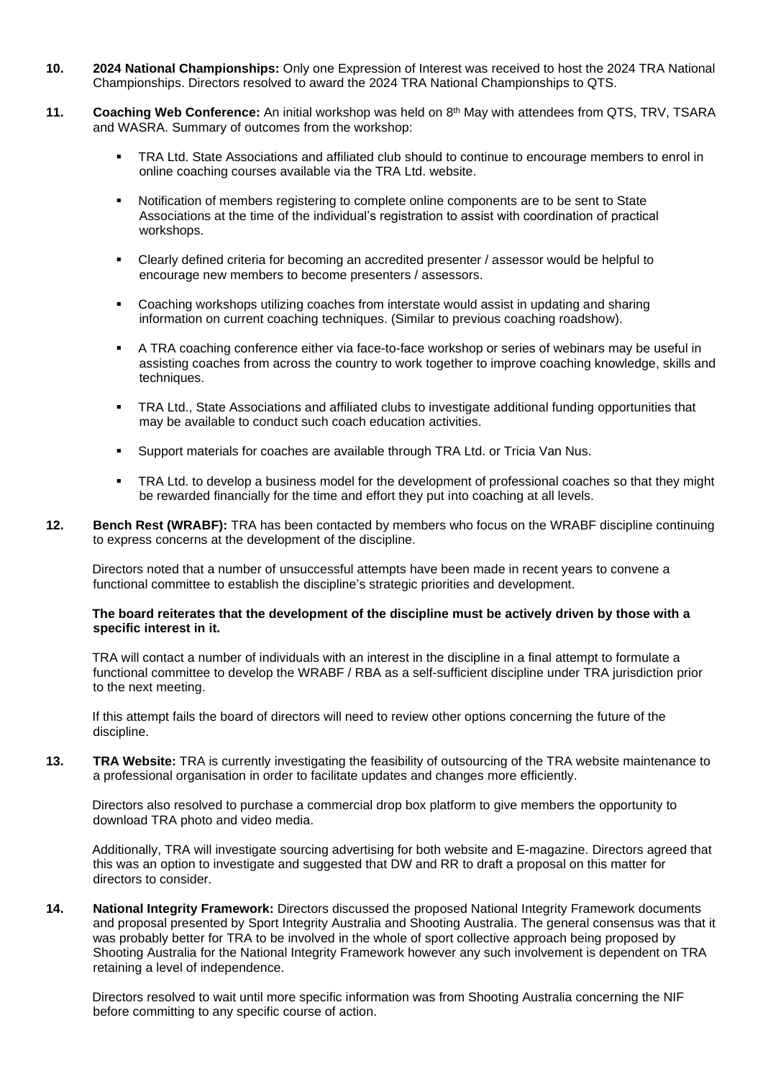- **10. 2024 National Championships:** Only one Expression of Interest was received to host the 2024 TRA National Championships. Directors resolved to award the 2024 TRA National Championships to QTS.
- **11. Coaching Web Conference:** An initial workshop was held on 8th May with attendees from QTS, TRV, TSARA and WASRA. Summary of outcomes from the workshop:
	- **TRA Ltd. State Associations and affiliated club should to continue to encourage members to enrol in** online coaching courses available via the TRA Ltd. website.
	- Notification of members registering to complete online components are to be sent to State Associations at the time of the individual's registration to assist with coordination of practical workshops.
	- Clearly defined criteria for becoming an accredited presenter / assessor would be helpful to encourage new members to become presenters / assessors.
	- Coaching workshops utilizing coaches from interstate would assist in updating and sharing information on current coaching techniques. (Similar to previous coaching roadshow).
	- **EXECT A TRA coaching conference either via face-to-face workshop or series of webinars may be useful in** assisting coaches from across the country to work together to improve coaching knowledge, skills and techniques.
	- **TRA Ltd., State Associations and affiliated clubs to investigate additional funding opportunities that** may be available to conduct such coach education activities.
	- Support materials for coaches are available through TRA Ltd. or Tricia Van Nus.
	- TRA Ltd. to develop a business model for the development of professional coaches so that they might be rewarded financially for the time and effort they put into coaching at all levels.
- **12. Bench Rest (WRABF):** TRA has been contacted by members who focus on the WRABF discipline continuing to express concerns at the development of the discipline.

Directors noted that a number of unsuccessful attempts have been made in recent years to convene a functional committee to establish the discipline's strategic priorities and development.

#### **The board reiterates that the development of the discipline must be actively driven by those with a specific interest in it.**

TRA will contact a number of individuals with an interest in the discipline in a final attempt to formulate a functional committee to develop the WRABF / RBA as a self-sufficient discipline under TRA jurisdiction prior to the next meeting.

If this attempt fails the board of directors will need to review other options concerning the future of the discipline.

**13. TRA Website:** TRA is currently investigating the feasibility of outsourcing of the TRA website maintenance to a professional organisation in order to facilitate updates and changes more efficiently.

Directors also resolved to purchase a commercial drop box platform to give members the opportunity to download TRA photo and video media.

Additionally, TRA will investigate sourcing advertising for both website and E-magazine. Directors agreed that this was an option to investigate and suggested that DW and RR to draft a proposal on this matter for directors to consider.

**14. National Integrity Framework:** Directors discussed the proposed National Integrity Framework documents and proposal presented by Sport Integrity Australia and Shooting Australia. The general consensus was that it was probably better for TRA to be involved in the whole of sport collective approach being proposed by Shooting Australia for the National Integrity Framework however any such involvement is dependent on TRA retaining a level of independence.

Directors resolved to wait until more specific information was from Shooting Australia concerning the NIF before committing to any specific course of action.